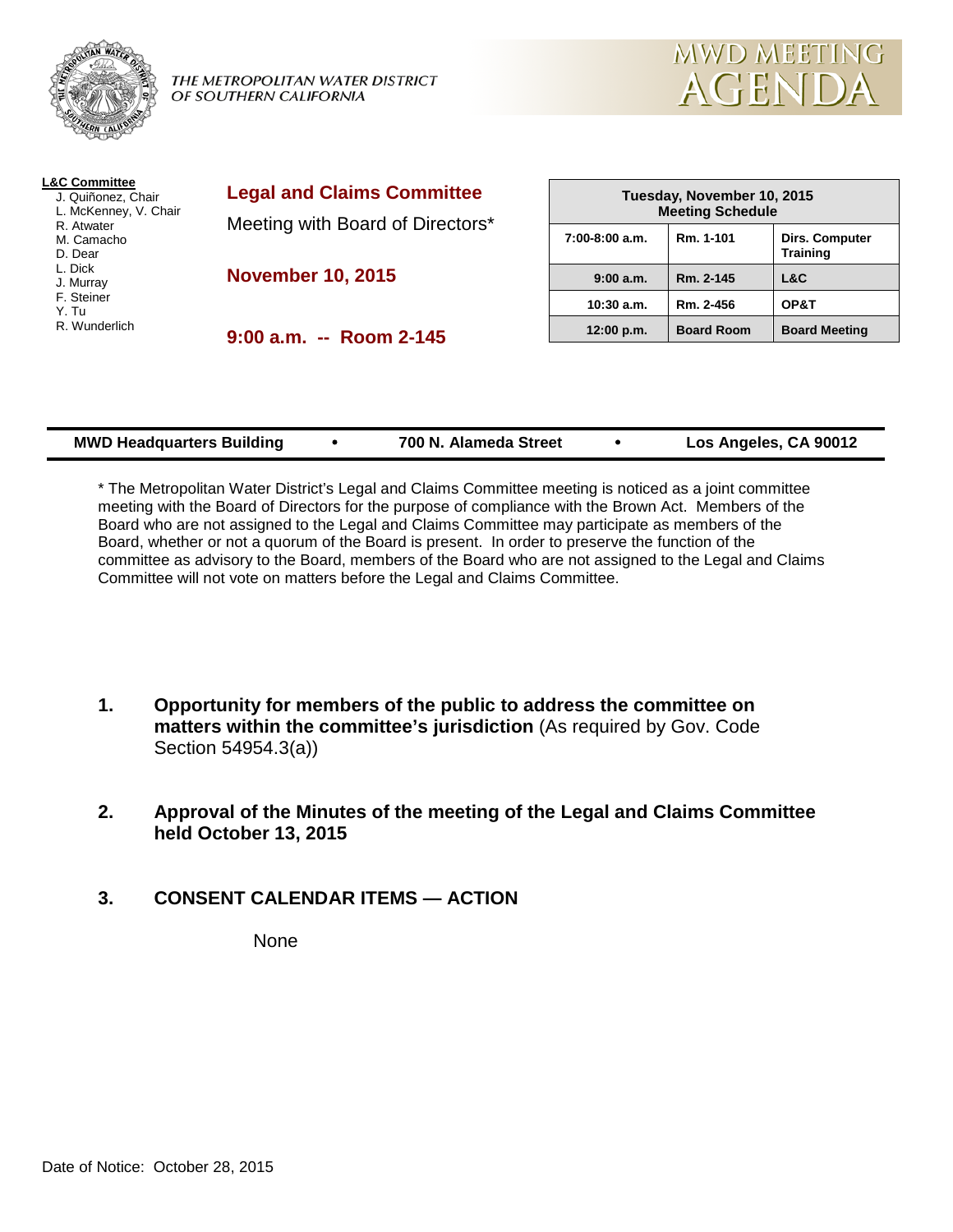

THE METROPOLITAN WATER DISTRICT OF SOUTHERN CALIFORNIA



| <b>L&amp;C Committee</b><br>J. Quiñonez, Chair<br>L. McKenney, V. Chair | <b>Legal and Claims Committee</b><br>Meeting with Board of Directors* | Tuesday, November 10, 2015<br><b>Meeting Schedule</b> |                   |                                          |
|-------------------------------------------------------------------------|-----------------------------------------------------------------------|-------------------------------------------------------|-------------------|------------------------------------------|
| R. Atwater<br>M. Camacho<br>D. Dear                                     |                                                                       | $7:00-8:00$ a.m.                                      | Rm. 1-101         | <b>Dirs. Computer</b><br><b>Training</b> |
| L. Dick<br>J. Murray                                                    | <b>November 10, 2015</b>                                              | 9:00 a.m.                                             | Rm. 2-145         | L&C                                      |
| F. Steiner<br>Y. Tu<br>R. Wunderlich                                    |                                                                       | $10:30$ a.m.                                          | Rm. 2-456         | OP&T                                     |
|                                                                         | $9:00$ a.m. $-$ Room 2-145                                            | 12:00 p.m.                                            | <b>Board Room</b> | <b>Board Meeting</b>                     |

| 700 N. Alameda Street<br><b>MWD Headquarters Building</b> |  | Los Angeles, CA 90012 |
|-----------------------------------------------------------|--|-----------------------|
|-----------------------------------------------------------|--|-----------------------|

\* The Metropolitan Water District's Legal and Claims Committee meeting is noticed as a joint committee meeting with the Board of Directors for the purpose of compliance with the Brown Act. Members of the Board who are not assigned to the Legal and Claims Committee may participate as members of the Board, whether or not a quorum of the Board is present. In order to preserve the function of the committee as advisory to the Board, members of the Board who are not assigned to the Legal and Claims Committee will not vote on matters before the Legal and Claims Committee.

- **1. Opportunity for members of the public to address the committee on matters within the committee's jurisdiction** (As required by Gov. Code Section 54954.3(a))
- **2. Approval of the Minutes of the meeting of the Legal and Claims Committee held October 13, 2015**
- **3. CONSENT CALENDAR ITEMS — ACTION**

None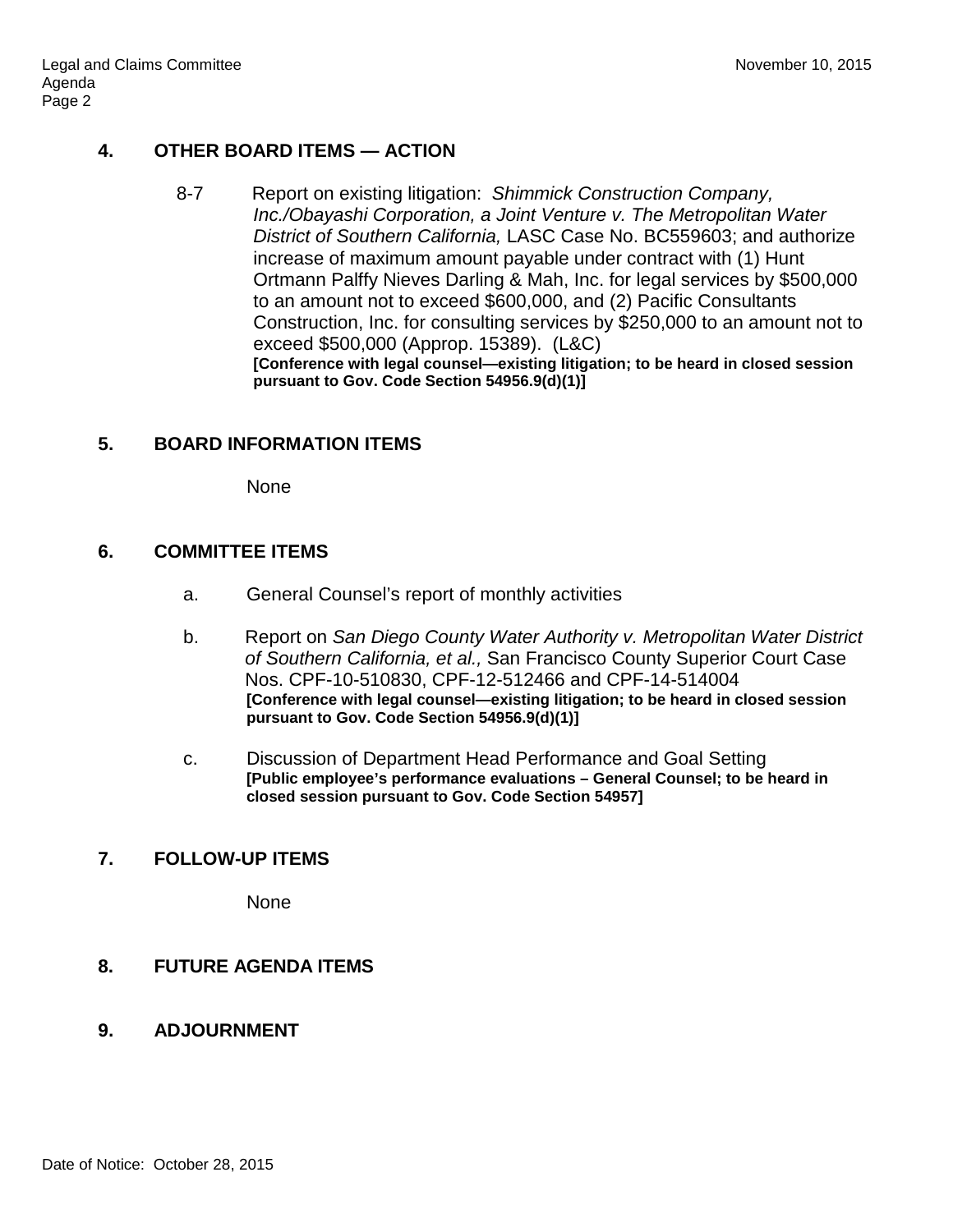# **4. OTHER BOARD ITEMS — ACTION**

8-7 Report on existing litigation: *Shimmick Construction Company, Inc./Obayashi Corporation, a Joint Venture v. The Metropolitan Water District of Southern California,* LASC Case No. BC559603; and authorize increase of maximum amount payable under contract with (1) Hunt Ortmann Palffy Nieves Darling & Mah, Inc. for legal services by \$500,000 to an amount not to exceed \$600,000, and (2) Pacific Consultants Construction, Inc. for consulting services by \$250,000 to an amount not to exceed \$500,000 (Approp. 15389). (L&C) **[Conference with legal counsel—existing litigation; to be heard in closed session pursuant to Gov. Code Section 54956.9(d)(1)]**

# **5. BOARD INFORMATION ITEMS**

None

# **6. COMMITTEE ITEMS**

- a. General Counsel's report of monthly activities
- b. Report on *San Diego County Water Authority v. Metropolitan Water District of Southern California, et al.,* San Francisco County Superior Court Case Nos. CPF-10-510830, CPF-12-512466 and CPF-14-514004 **[Conference with legal counsel—existing litigation; to be heard in closed session pursuant to Gov. Code Section 54956.9(d)(1)]**
- c. Discussion of Department Head Performance and Goal Setting **[Public employee's performance evaluations – General Counsel; to be heard in closed session pursuant to Gov. Code Section 54957]**

# **7. FOLLOW-UP ITEMS**

None

# **8. FUTURE AGENDA ITEMS**

# **9. ADJOURNMENT**